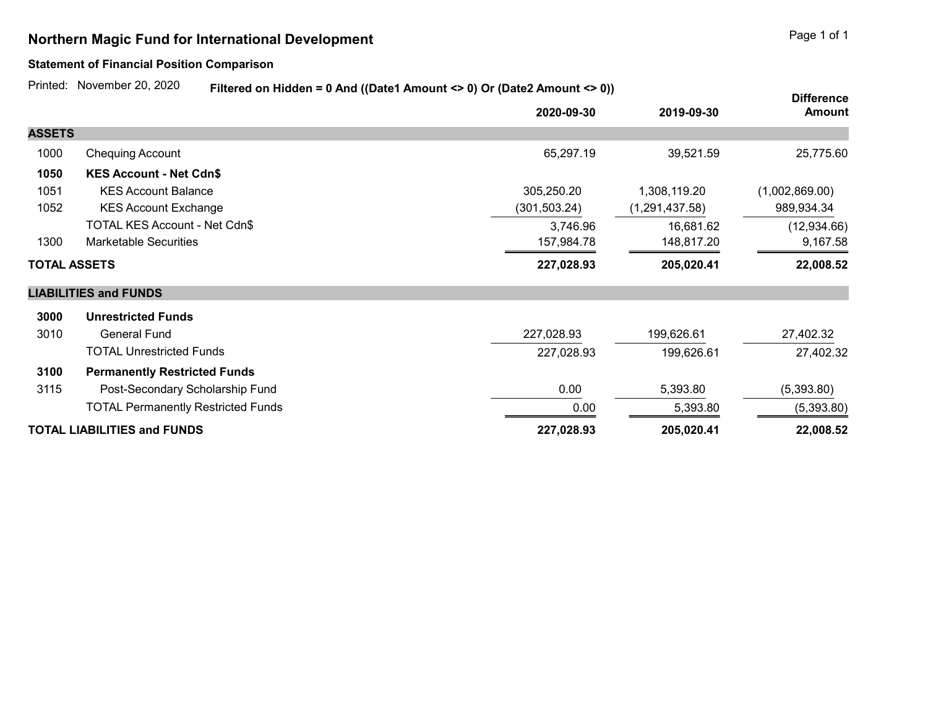## Northern Magic Fund for International Development **Page 1 of 1** and 2001 1 and 2008 1 and 2008 1 and 2008 1 and 2008 1 and 2008 1 and 2008 1 and 2008 1 and 2008 1 and 2008 1 and 2008 1 and 2008 1 and 2008 1 and 2008 1 and

## Statement of Financial Position Comparison

Printed: November 20, 2020

Filtered on Hidden = 0 And ((Date1 Amount <> 0) Or (Date2 Amount <> 0))

|                                    |                                           | $\frac{1}{2}$ increased to the contract of the contract $\sim$ $\frac{1}{2}$ or $\frac{1}{2}$ battle through $\sim$ $\frac{1}{2}$ |                  | <b>Difference</b> |
|------------------------------------|-------------------------------------------|-----------------------------------------------------------------------------------------------------------------------------------|------------------|-------------------|
|                                    |                                           | 2020-09-30                                                                                                                        | 2019-09-30       | <b>Amount</b>     |
| <b>ASSETS</b>                      |                                           |                                                                                                                                   |                  |                   |
| 1000                               | <b>Chequing Account</b>                   | 65,297.19                                                                                                                         | 39,521.59        | 25,775.60         |
| 1050                               | <b>KES Account - Net Cdn\$</b>            |                                                                                                                                   |                  |                   |
| 1051                               | <b>KES Account Balance</b>                | 305,250.20                                                                                                                        | 1,308,119.20     | (1,002,869.00)    |
| 1052                               | <b>KES Account Exchange</b>               | (301,503.24)                                                                                                                      | (1, 291, 437.58) | 989,934.34        |
|                                    | TOTAL KES Account - Net Cdn\$             | 3,746.96                                                                                                                          | 16,681.62        | (12,934.66)       |
| 1300                               | <b>Marketable Securities</b>              | 157,984.78                                                                                                                        | 148,817.20       | 9,167.58          |
| <b>TOTAL ASSETS</b>                |                                           | 227,028.93                                                                                                                        | 205,020.41       | 22,008.52         |
|                                    | <b>LIABILITIES and FUNDS</b>              |                                                                                                                                   |                  |                   |
| 3000                               | <b>Unrestricted Funds</b>                 |                                                                                                                                   |                  |                   |
| 3010                               | <b>General Fund</b>                       | 227,028.93                                                                                                                        | 199,626.61       | 27,402.32         |
|                                    | <b>TOTAL Unrestricted Funds</b>           | 227,028.93                                                                                                                        | 199,626.61       | 27,402.32         |
| 3100                               | <b>Permanently Restricted Funds</b>       |                                                                                                                                   |                  |                   |
| 3115                               | Post-Secondary Scholarship Fund           | 0.00                                                                                                                              | 5,393.80         | (5,393.80)        |
|                                    | <b>TOTAL Permanently Restricted Funds</b> | 0.00                                                                                                                              | 5,393.80         | (5,393.80)        |
| <b>TOTAL LIABILITIES and FUNDS</b> |                                           | 227,028.93                                                                                                                        | 205,020.41       | 22,008.52         |